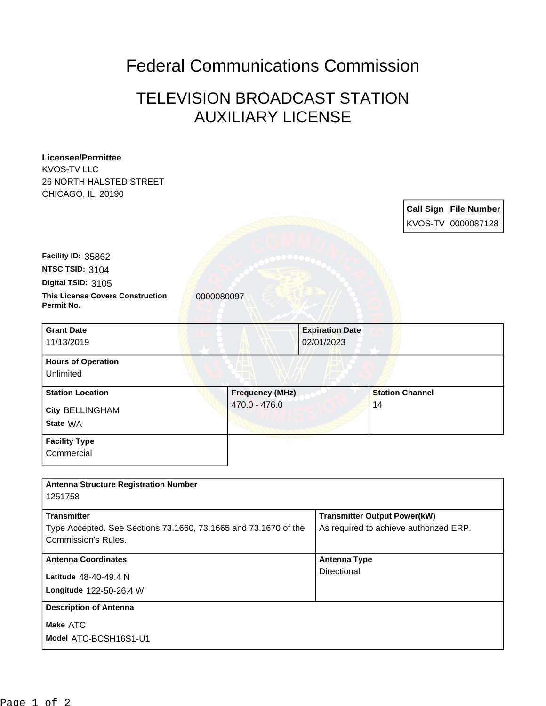## Federal Communications Commission

## TELEVISION BROADCAST STATION AUXILIARY LICENSE

| <b>Licensee/Permittee</b>                                       |                        |                                        |                                     |                       |  |
|-----------------------------------------------------------------|------------------------|----------------------------------------|-------------------------------------|-----------------------|--|
| <b>KVOS-TV LLC</b>                                              |                        |                                        |                                     |                       |  |
| 26 NORTH HALSTED STREET                                         |                        |                                        |                                     |                       |  |
| CHICAGO, IL, 20190                                              |                        |                                        |                                     |                       |  |
|                                                                 |                        |                                        |                                     | Call Sign File Number |  |
|                                                                 |                        |                                        |                                     | KVOS-TV 0000087128    |  |
|                                                                 |                        |                                        |                                     |                       |  |
|                                                                 |                        |                                        |                                     |                       |  |
| Facility ID: 35862                                              |                        |                                        |                                     |                       |  |
| NTSC TSID: 3104                                                 |                        |                                        |                                     |                       |  |
| Digital TSID: 3105                                              |                        |                                        |                                     |                       |  |
| <b>This License Covers Construction</b><br>Permit No.           | 0000080097             |                                        |                                     |                       |  |
| <b>Grant Date</b>                                               |                        | <b>Expiration Date</b>                 |                                     |                       |  |
| 11/13/2019                                                      |                        | 02/01/2023                             |                                     |                       |  |
|                                                                 |                        |                                        |                                     |                       |  |
| <b>Hours of Operation</b>                                       |                        |                                        |                                     |                       |  |
| Unlimited                                                       |                        |                                        |                                     |                       |  |
| <b>Station Location</b>                                         | <b>Frequency (MHz)</b> |                                        | <b>Station Channel</b>              |                       |  |
| City BELLINGHAM                                                 | 470.0 - 476.0          |                                        | 14                                  |                       |  |
| State WA                                                        |                        |                                        |                                     |                       |  |
|                                                                 |                        |                                        |                                     |                       |  |
| <b>Facility Type</b>                                            |                        |                                        |                                     |                       |  |
| Commercial                                                      |                        |                                        |                                     |                       |  |
|                                                                 |                        |                                        |                                     |                       |  |
| <b>Antenna Structure Registration Number</b>                    |                        |                                        |                                     |                       |  |
| 1251758                                                         |                        |                                        |                                     |                       |  |
| <b>Transmitter</b>                                              |                        |                                        | <b>Transmitter Output Power(kW)</b> |                       |  |
| Type Accepted. See Sections 73.1660, 73.1665 and 73.1670 of the |                        | As required to achieve authorized ERP. |                                     |                       |  |
| <b>Commission's Rules.</b>                                      |                        |                                        |                                     |                       |  |
| <b>Antenna Coordinates</b>                                      |                        |                                        | <b>Antenna Type</b>                 |                       |  |
| Latitude 48-40-49.4 N                                           |                        | Directional                            |                                     |                       |  |
| Longitude 122-50-26.4 W                                         |                        |                                        |                                     |                       |  |
|                                                                 |                        |                                        |                                     |                       |  |
| <b>Description of Antenna</b>                                   |                        |                                        |                                     |                       |  |
| Make ATC                                                        |                        |                                        |                                     |                       |  |
| Model ATC-BCSH16S1-U1                                           |                        |                                        |                                     |                       |  |
|                                                                 |                        |                                        |                                     |                       |  |